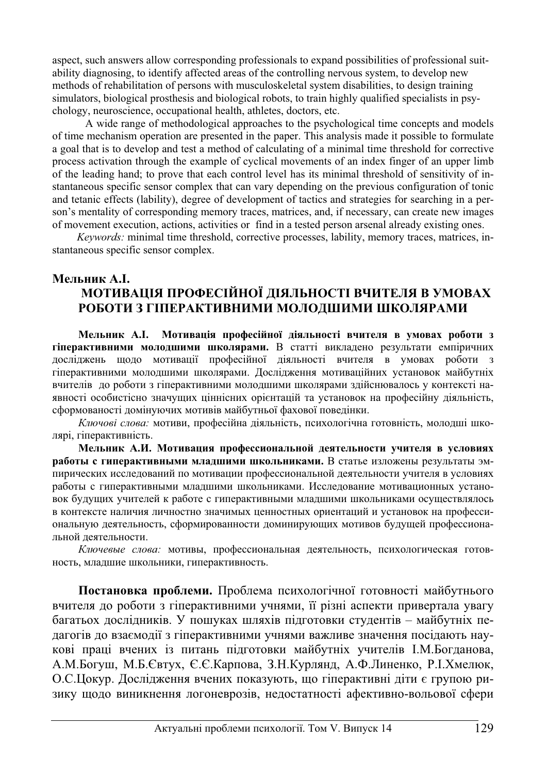aspect, such answers allow corresponding professionals to expand possibilities of professional suitability diagnosing, to identify affected areas of the controlling nervous system, to develop new methods of rehabilitation of persons with musculoskeletal system disabilities, to design training simulators, biological prosthesis and biological robots, to train highly qualified specialists in psychology, neuroscience, occupational health, athletes, doctors, etc.

 A wide range of methodological approaches to the psychological time concepts and models of time mechanism operation are presented in the paper. This analysis made it possible to formulate a goal that is to develop and test a method of calculating of a minimal time threshold for corrective process activation through the example of cyclical movements of an index finger of an upper limb of the leading hand; to prove that each control level has its minimal threshold of sensitivity of instantaneous specific sensor complex that can vary depending on the previous configuration of tonic and tetanic effects (lability), degree of development of tactics and strategies for searching in a person's mentality of corresponding memory traces, matrices, and, if necessary, can create new images of movement execution, actions, activities or find in a tested person arsenal already existing ones.

*Keywords:* minimal time threshold, corrective processes, lability, memory traces, matrices, instantaneous specific sensor complex.

## **Ɇɟɥɶɧɢɤ Ⱥ.ȱ.** МОТИВАЦІЯ ПРОФЕСІЙНОЇ ДІЯЛЬНОСТІ ВЧИТЕЛЯ В УМОВАХ РОБОТИ З ГІПЕРАКТИВНИМИ МОЛОДШИМИ ШКОЛЯРАМИ

Мельник А.І. Мотивація професійної діяльності вчителя в умовах роботи з г**іперактивними молодшими школярами.** В статті викладено результати емпіричних досліджень щодо мотивації професійної діяльності вчителя в умовах роботи з гіперактивними молодшими школярами. Дослідження мотиваційних установок майбутніх вчителів до роботи з гіперактивними молодшими школярами здійснювалось у контексті наявності особистісно значуших піннісних орієнтацій та установок на професійну ліяльність, сформованості домінуючих мотивів майбутньої фахової поведінки.

Ключові слова: мотиви, професійна діяльність, психологічна готовність, молодші школярі, гіперактивність.

Мельник А.И. Мотивация профессиональной деятельности учителя в условиях **работы с гиперактивными младшими школьниками.** В статье изложены результаты эмпирических исследований по мотивации профессиональной деятельности учителя в условиях работы с гиперактивными младшими школьниками. Исследование мотивационных установок будущих учителей к работе с гиперактивными младшими школьниками осуществлялось в контексте наличия личностно значимых ценностных ориентаций и установок на профессиональную деятельность, сформированности доминирующих мотивов будущей профессиональной леятельности.

Ключевые слова: мотивы, профессиональная деятельность, психологическая готовность, младшие школьники, гиперактивность.

Постановка проблеми. Проблема психологічної готовності майбутнього вчителя до роботи з гіперактивними учнями, її різні аспекти привертала увагу багатьох дослідників. У пошуках шляхів підготовки студентів – майбутніх педагогів до взаємодії з гіперактивними учнями важливе значення посідають наукові праці вчених із питань підготовки майбутніх учителів І.М.Богданова, А.М.Богуш, М.Б.Євтух, Є.Є.Карпова, З.Н.Курлянд, А.Ф.Линенко, Р.І.Хмелюк, О.С.Цокур. Дослідження вчених показують, що гіперактивні діти є групою ризику щодо виникнення логоневрозів, недостатності афективно-вольової сфери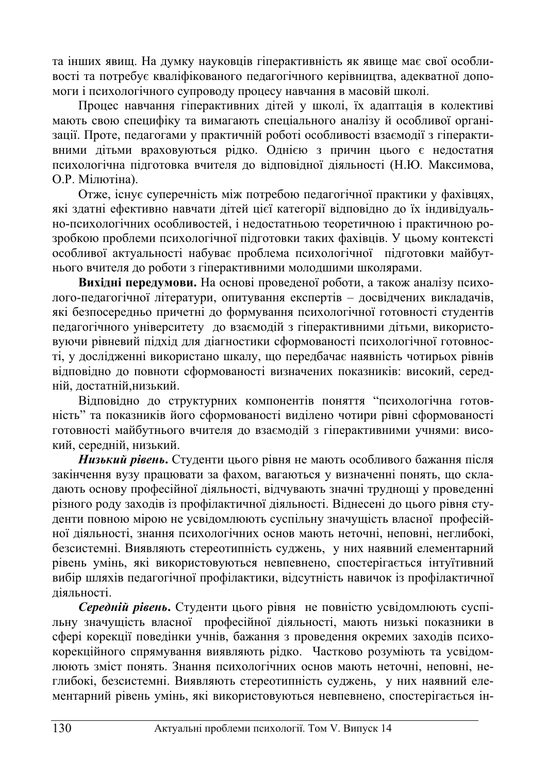та інших явищ. На думку науковців гіперактивність як явище має свої особливості та потребує кваліфікованого педагогічного керівництва, адекватної допомоги і психологічного супроводу процесу навчання в масовій школі.

Процес навчання гіперактивних дітей у школі, їх адаптація в колективі мають свою специфіку та вимагають спеціального аналізу й особливої організації. Проте, педагогами у практичній роботі особливості взаємодії з гіперактивними дітьми враховуються рідко. Однією з причин цього є недостатня психологічна підготовка вчителя до відповідної діяльності (Н.Ю. Максимова, О.Р. Мілютіна).

Отже, існує суперечність між потребою педагогічної практики у фахівцях, які златні ефективно навчати літей цієї категорії вілповілно ло їх індивілуально-психологічних особливостей, і недостатньою теоретичною і практичною розробкою проблеми психологічної підготовки таких фахівців. У цьому контексті особливої актуальності набуває проблема психологічної підготовки майбутнього вчителя до роботи з гіперактивними молодшими школярами.

**Вихідні передумови.** На основі проведеної роботи, а також аналізу психолого-педагогічної літератури, опитування експертів – досвідчених викладачів, які безпосередньо причетні до формування психологічної готовності студентів педагогічного університету до взаємодій з гіперактивними дітьми, використовуючи рівневий підхід для діагностики сформованості психологічної готовності, у дослідженні використано шкалу, що передбачає наявність чотирьох рівнів відповідно до повноти сформованості визначених показників: високий, середній, лостатній, низький.

Відповідно до структурних компонентів поняття "психологічна готовність" та показників його сформованості виділено чотири рівні сформованості готовності майбутнього вчителя до взаємодій з гіперактивними учнями: високий, серелній, низький.

Низький рівень. Студенти цього рівня не мають особливого бажання після закінчення вузу працювати за фахом, вагаються у визначенні понять, що складають основу професійної діяльності, відчувають значні труднощі у проведенні різного роду заходів із профілактичної діяльності. Віднесені до цього рівня сту-Тенти повною мірою не усвідомлюють суспільну значущість власної професійної діяльності, знання психологічних основ мають неточні, неповні, неглибокі, безсистемні. Виявляють стереотипність суджень, у них наявний елементарний рівень умінь, які використовуються невпевнено, спостерігається інтуїтивний вибір шляхів педагогічної профілактики, відсутність навичок із профілактичної діяльності.

Середній рівень. Студенти цього рівня не повністю усвідомлюють суспільну значущість власної професійної діяльності, мають низькі показники в сфері корекції поведінки учнів, бажання з проведення окремих заходів психокорекційного спрямування виявляють рідко. Частково розуміють та усвідомлюють зміст понять. Знання психологічних основ мають неточні, неповні, неглибокі, безсистемні. Виявляють стереотипність суджень, у них наявний елементарний рівень умінь, які використовуються невпевнено, спостерігається ін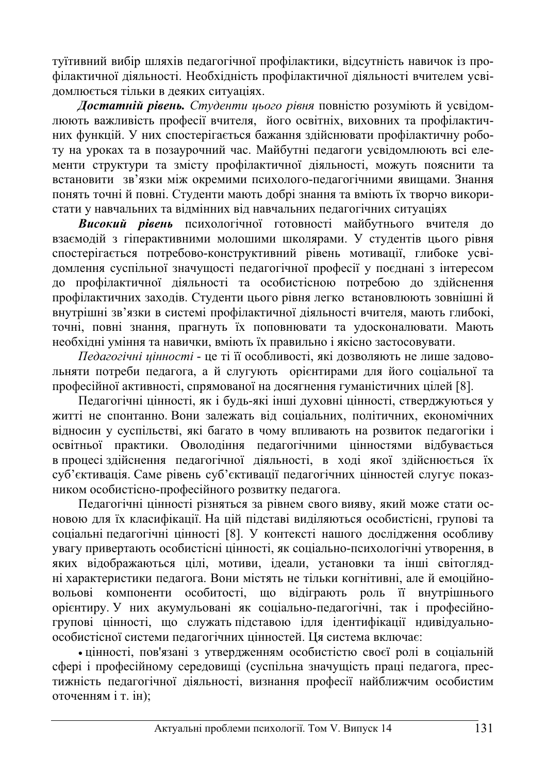туїтивний вибір шляхів педагогічної профілактики, відсутність навичок із профілактичної діяльності. Необхідність профілактичної діяльності вчителем усвідомлюється тільки в леяких ситуаціях.

**Достатній рівень.** Студенти цього рівня повністю розуміють й усвідомлюють важливість професії вчителя, його освітніх, виховних та профілактичних функцій. У них спостерігається бажання здійснювати профілактичну роботу на уроках та в позаурочний час. Майбутні педагоги усвідомлюють всі елементи структури та змісту профілактичної діяльності, можуть пояснити та встановити зв'язки між окремими психолого-педагогічними явищами. Знання понять точні й повні. Студенти мають добрі знання та вміють їх творчо використати у навчальних та відмінних від навчальних педагогічних ситуаціях

**Високий рівень** психологічної готовності майбутнього вчителя до взаємодій з гіперактивними молошими школярами. У студентів цього рівня спостерігається потребово-конструктивний рівень мотивації, глибоке усвідомлення суспільної значущості педагогічної професії у поєднані з інтересом до профілактичної діяльності та особистісною потребою до здійснення профілактичних заходів. Студенти цього рівня легко встановлюють зовнішні й внутрішні зв'язки в системі профілактичної діяльності вчителя, мають глибокі, точні, повні знання, прагнуть їх поповнювати та удосконалювати. Мають необхілні уміння та навички, вміють їх правильно і якісно застосовувати.

 $\overline{\textit{He}}\textit{d}$ агогічні цінності - це ті її особливості, які дозволяють не лише задовольняти потреби педагога, а й слугують орієнтирами для його соціальної та професійної активності, спрямованої на досягнення гуманістичних цілей [8].

Педагогічні цінності, як і будь-які інші духовні цінності, стверджуються у житті не спонтанно. Вони залежать від соціальних, політичних, економічних відносин у суспільстві, які багато в чому впливають на розвиток педагогіки і освітньої практики. Оволоління пелагогічними пінностями вілбувається в процесі здійснення педагогічної діяльності, в ході якої здійснюється їх суб'єктивація. Саме рівень суб'єктивації педагогічних цінностей слугує показником особистісно-професійного розвитку педагога.

Педагогічні цінності різняться за рівнем свого вияву, який може стати основою для їх класифікації. На цій підставі виділяються особистісні, групові та соціальні педагогічні цінності [8]. У контексті нашого дослідження особливу увагу привертають особистісні цінності, як соціально-психологічні утворення, в яких відображаються цілі, мотиви, ідеали, установки та інші світоглядні характеристики педагога. Вони містять не тільки когнітивні, але й емоційновольові компоненти особитості, що відіграють роль її внутрішнього орієнтиру. У них акумульовані як соціально-педагогічні, так і професійногрупові цінності, що служать підставою ідля ідентифікації ндивідуальноособистісної системи педагогічних цінностей. Ця система включає:

• цінності, пов'язані з утвердженням особистістю своєї ролі в соціальній сфері і професійному середовищі (суспільна значущість праці педагога, престижність педагогічної діяльності, визнання професії найближчим особистим оточенням і т. ін);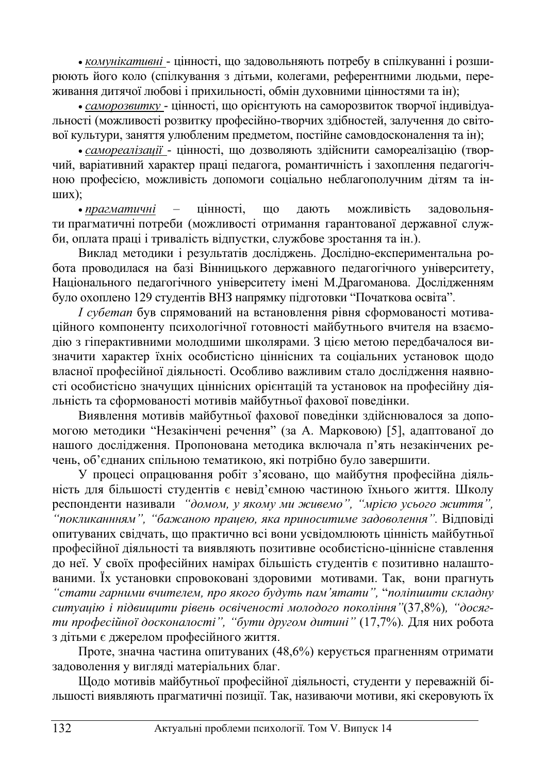• комунікативні - цінності, що задовольняють потребу в спілкуванні і розширюють його коло (спілкування з дітьми, колегами, референтними людьми, переживання литячої любові і прихильності, обмін луховними цінностями та ін);

• *саморозвитку* - цінності, що орієнтують на саморозвиток творчої індивідуальності (можливості розвитку професійно-творчих здібностей, залучення до світової культури, заняття улюбленим предметом, постійне самовдосконалення та ін);

**• самореалізації - цінності, що дозволяють здійснити самореалізацію (твор**чий, варіативний характер праці педагога, романтичність і захоплення педагогічною професією, можливість допомоги соціально неблагополучним дітям та інɲɢɯ);

• прагматичні – цінності, що дають можливість задовольняти прагматичні потреби (можливості отримання гарантованої державної служби, оплата праці і тривалість відпустки, службове зростання та ін.).

Виклад методики і результатів досліджень. Дослідно-експериментальна робота проводилася на базі Вінницького державного педагогічного університету, Національного педагогічного університету імені М.Драгоманова. Дослідженням було охоплено 129 студентів ВНЗ напрямку підготовки "Початкова освіта".

*I субетап* був спрямований на встановлення рівня сформованості мотиваційного компоненту психологічної готовності майбутнього вчителя на взаємодію з гіперактивними молодшими школярами. З цією метою передбачалося визначити характер їхніх особистісно ціннісних та соціальних установок щодо власної професійної діяльності. Особливо важливим стало дослідження наявності особистісно значущих ціннісних орієнтацій та установок на професійну діяльність та сформованості мотивів майбутньої фахової поведінки.

Виявлення мотивів майбутньої фахової поведінки здійснювалося за допомогою методики "Незакінчені речення" (за А. Марковою) [5], адаптованої до нашого дослідження. Пропонована методика включала п'ять незакінчених речень, об'єднаних спільною тематикою, які потрібно було завершити.

У процесі опрацювання робіт з'ясовано, що майбутня професійна діяльність для більшості студентів є невід'ємною частиною їхнього життя. Школу респонденти називали "домом, у якому ми живемо", "мрією усього життя", <sup>"</sup>покликаннням", "бажаною працею, яка приноситиме задоволення". Відповіді опитуваних свідчать, що практично всі вони усвідомлюють цінність майбутньої професійної діяльності та виявляють позитивне особистісно-ціннісне ставлення до неї. У своїх професійних намірах більшість студентів є позитивно налаштованими. Їх установки спровоковані здоровими мотивами. Так, вони прагнуть <sup>"</sup>/*стати гарними вчителем, про якого будуть пам'ятати", "поліпшити складну*  $cumyauio i ni*двии*и ти ёвень освіченості молодого покоління " (37,8%), "досяг$ ти професійної досконалості", "бути другом дитині" (17,7%). Для них робота з дітьми є джерелом професійного життя.

Проте, значна частина опитуваних (48,6%) керується прагненням отримати задоволення у вигляді матеріальних благ.

Щодо мотивів майбутньої професійної діяльності, студенти у переважній більшості виявляють прагматичні позиції. Так, називаючи мотиви, які скеровують їх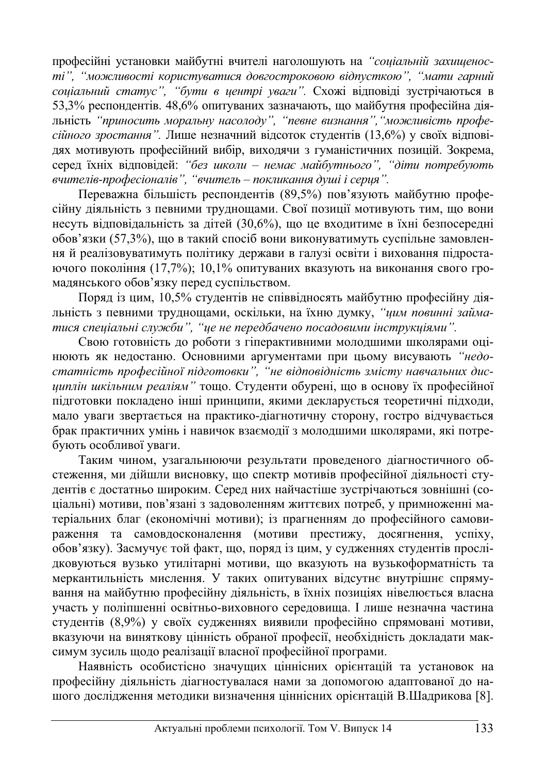професійні установки майбутні вчителі наголошують на "*соціальній захищенос*ті", "можливості користуватися довгостроковою відпусткою", "мати гарний соціальний статус", "бути в центрі уваги". Схожі відповіді зустрічаються в 53,3% респондентів. 48,6% опитуваних зазначають, що майбутня професійна діяльність "приносить моральну насолоду", "певне визнання", "можливість профе*сійного зростання*". Лише незначний відсоток студентів (13,6%) у своїх відповідях мотивують професійний вибір, виходячи з гуманістичних позицій. Зокрема, серед їхніх відповідей: "без школи – немає майбутнього", "діти потребують *ɜɱɢɬɟɥɿɜ-ɩɪɨɮɟɫɿɨɧɚɥɿɜ", "ɜɱɢɬɟɥɶ – ɩɨɤɥɢɤɚɧɧɹ ɞɭɲɿ ɿ ɫɟɪɰɹ".*

Переважна більшість респондентів (89,5%) пов'язують майбутню професійну діяльність з певними труднощами. Свої позиції мотивують тим, що вони несуть відповідальність за дітей (30,6%), що це входитиме в їхні безпосередні обов'язки (57,3%), що в такий спосіб вони виконуватимуть суспільне замовленняй реалізовуватимуть політику держави в галузі освіти і виховання підростаючого покоління (17,7%); 10,1% опитуваних вказують на виконання свого громадянського обов'язку перед суспільством.

Поряд із цим, 10,5% студентів не співвідносять майбутню професійну діяльність з певними труднощами, оскільки, на їхню думку, "цим повинні займатися спеціальні служби", "це не передбачено посадовими інструкціями".

Свою готовність до роботи з гіперактивними молодшими школярами оцінюють як недостаню. Основними аргументами при цьому висувають "недоcтатність професійної підготовки", "не відповідність змісту навчальних дис**ишплін шкільним реаліям** " тощо. Студенти обурені, що в основу їх професійної підготовки покладено інші принципи, якими декларується теоретичні підходи, мало уваги звертається на практико-діагнотичну сторону, гостро відчувається брак практичних умінь і навичок взаємодії з молодшими школярами, які потребують особливої уваги.

Таким чином, узагальнюючи результати проведеного діагностичного обстеження, ми дійшли висновку, що спектр мотивів професійної діяльності студентів є достатньо широким. Серед них найчастіше зустрічаються зовнішні (соціальні) мотиви, пов'язані з задоволенням життєвих потреб, у примноженні матеріальних благ (економічні мотиви); із прагненням до професійного самовираження та самовдосконалення (мотиви престижу, досягнення, успіху, обов'язку). Засмучує той факт, що, поряд із цим, у судженнях студентів прослідковуються вузько утилітарні мотиви, що вказують на вузькоформатність та меркантильність мислення. У таких опитуваних відсутнє внутрішнє спрямування на майбутню професійну діяльність, в їхніх позиціях нівелюється власна участь у поліпшенні освітньо-виховного середовища. І лише незначна частина студентів (8,9%) у своїх судженнях виявили професійно спрямовані мотиви, вказуючи на виняткову цінність обраної професії, необхідність докладати максимум зусиль щодо реалізації власної професійної програми.

Наявність особистісно значущих ціннісних орієнтацій та установок на професійну діяльність діагностувалася нами за допомогою адаптованої до нашого дослідження методики визначення ціннісних орієнтацій В.Шадрикова [8].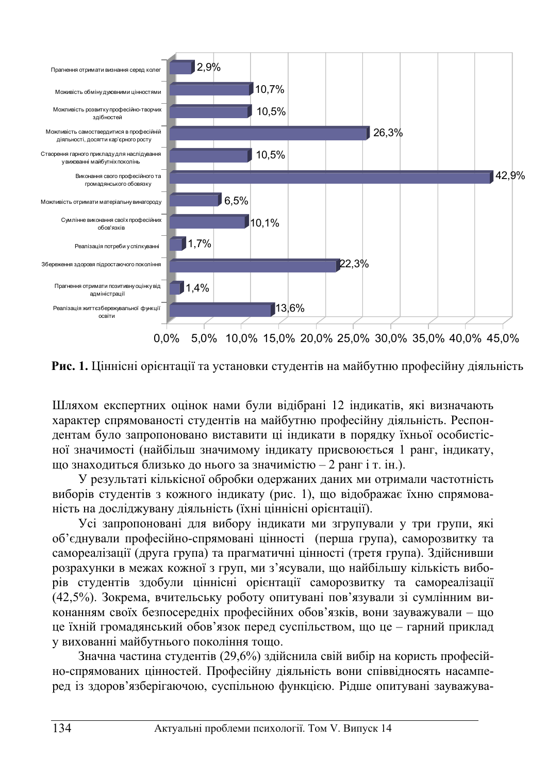

Рис. 1. Ціннісні орієнтації та установки студентів на майбутню професійну діяльність

Шляхом експертних оцінок нами були відібрані 12 індикатів, які визначають характер спрямованості студентів на майбутню професійну діяльність. Респондентам було запропоновано виставити ці індикати в порядку їхньої особистісної значимості (найбільш значимому індикату присвоюється 1 ранг, індикату,

що знаходиться близько до нього за значимістю - 2 ранг і т. ін.). У результаті кількісної обробки одержаних даних ми отримали частотність виборів студентів з кожного індикату (рис. 1), що відображає їхню спрямова-

ність на досліджувану діяльність (їхні ціннісні орієнтації).

Усі запропоновані для вибору індикати ми згрупували у три групи, які об'єднували професійно-спрямовані цінності (перша група), саморозвитку та самореалізації (друга група) та прагматичні цінності (третя група). Здійснивши розрахунки в межах кожної з груп, ми з'ясували, що найбільшу кількість виборів студентів здобули ціннісні орієнтації саморозвитку та самореалізації (42,5%). Зокрема, вчительську роботу опитувані пов'язували зі сумлінним виконанням своїх безпосередніх професійних обов'язків, вони зауважували - що це їхній громадянський обов'язок перед суспільством, що це – гарний приклад у вихованні майбутнього покоління тощо.

Значна частина студентів (29,6%) здійснила свій вибір на користь професійно-спрямованих цінностей. Професійну діяльність вони співвідносять насамперед із здоров'язберігаючою, суспільною функцією. Рідше опитувані зауважува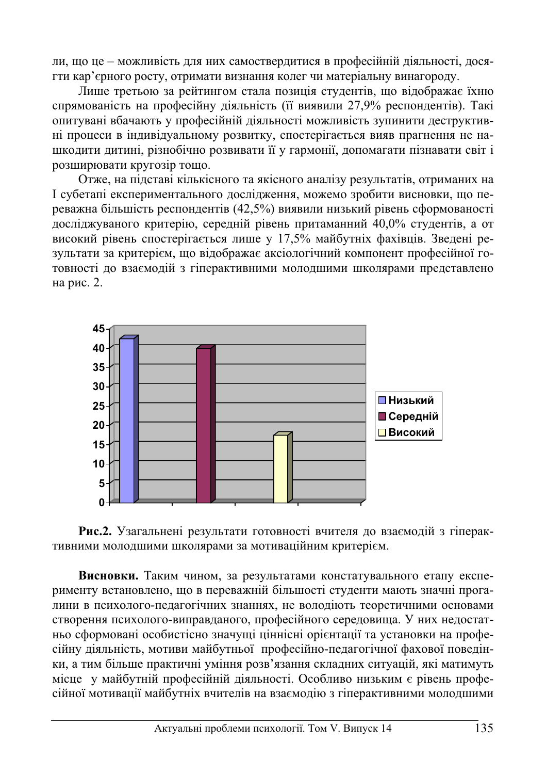ли, що це – можливість для них самоствердитися в професійній діяльності, досягти кар'єрного росту, отримати визнання колег чи матеріальну винагороду.

Лише третьою за рейтингом стала позиція студентів, що відображає їхню спрямованість на професійну діяльність (її виявили 27,9% респондентів). Такі опитувані вбачають у професійній діяльності можливість зупинити деструктивні процеси в індивідуальному розвитку, спостерігається вияв прагнення не нашкодити дитині, різнобічно розвивати її у гармонії, допомагати пізнавати світ і розширювати кругозір тощо.

Отже, на підставі кількісного та якісного аналізу результатів, отриманих на I субетапі експериментального дослідження, можемо зробити висновки, що переважна більшість респондентів (42,5%) виявили низький рівень сформованості досліджуваного критерію, середній рівень притаманний 40,0% студентів, а от високий рівень спостерігається лише у 17,5% майбутніх фахівців. Зведені результати за критерієм, що відображає аксіологічний компонент професійної готовності до взаємодій з гіперактивними молодшими школярами представлено на рис. 2.





Висновки. Таким чином, за результатами констатувального етапу експерименту встановлено, що в переважній більшості студенти мають значні прогалини в психолого-педагогічних знаннях, не володіють теоретичними основами створення психолого-виправданого, професійного середовища. У них недостатньо сформовані особистісно значущі ціннісні орієнтації та установки на професійну діяльність, мотиви майбутньої професійно-педагогічної фахової поведінки, а тим більше практичні уміння розв'язання складних ситуацій, які матимуть місце у майбутній професійній діяльності. Особливо низьким є рівень професійної мотивації майбутніх вчителів на взаємодію з гіперактивними молодшими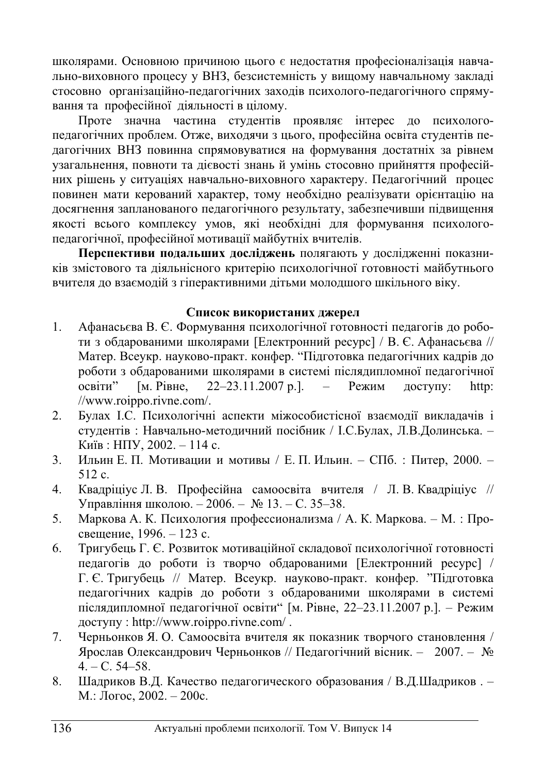школярами. Основною причиною цього є недостатня професіоналізація навчально-виховного процесу у ВНЗ, безсистемність у вищому навчальному закладі стосовно організаційно-пелагогічних захолів психолого-пелагогічного спрямування та професійної діяльності в цілому.

Проте значна частина студентів проявляє інтерес до психологопедагогічних проблем. Отже, виходячи з цього, професійна освіта студентів педагогічних ВНЗ повинна спрямовуватися на формування достатніх за рівнем узагальнення, повноти та дієвості знань й умінь стосовно прийняття професійних рішень у ситуаціях навчально-виховного характеру. Педагогічний процес повинен мати керований характер, тому необхідно реалізувати орієнтацію на досягнення запланованого педагогічного результату, забезпечивши підвищення якості всього комплексу умов, які необхідні для формування психологопедагогічної, професійної мотивації майбутніх вчителів.

Перспективи подальших досліджень полягають у дослідженні показників змістового та діяльнісного критерію психологічної готовності майбутнього вчителя до взаємодій з гіперактивними дітьми молодшого шкільного віку.

## Список використаних джерел

- 1. Афанасьєва В. Є. Формування психологічної готовності педагогів до роботи з обдарованими школярами [Електронний ресурс] / В. Є. Афанасьєва // Матер. Всеукр. науково-практ. конфер. "Підготовка педагогічних кадрів до роботи з обдарованими школярами в системі післядипломної педагогічної  $\alpha$ евіти" [м. Рівне, 22–23.11.2007 р.]. – Режим доступу: http: //www.roippo.rivne.com/.
- 2. Булах І.С. Психологічні аспекти міжособистісної взаємодії викладачів і студентів : Навчально-методичний посібник / І.С.Булах, Л.В.Долинська. -Київ: НПУ, 2002. – 114 с.
- 3. Ильин Е. П. Мотивации и мотивы / Е. П. Ильин. СПб. : Питер, 2000. - $512 c.$
- 4. Квадріціус Л. В. Професійна самоосвіта вчителя / Л. В. Квадріціус // Управління школою. – 2006. – № 13. – С. 35–38.
- 5. Маркова А. К. Психология профессионализма / А. К. Маркова. М. : Просвешение, 1996. – 123 с.
- 6. Тригубець Г. Є. Розвиток мотиваційної складової психологічної готовності педагогів до роботи із творчо обдарованими [Електронний ресурс] / Г. Є. Тригубець // Матер. Всеукр. науково-практ. конфер. "Підготовка педагогічних кадрів до роботи з обдарованими школярами в системі післядипломної педагогічної освіти" [м. Рівне, 22–23.11.2007 р.]. – Режим доступу: http://www.roippo.rivne.com/.
- 7. Черньонков Я. О. Самоосвіта вчителя як показник творчого становлення / Ярослав Олександрович Черньонков // Педагогічний вісник. – 2007. – №  $4. - C. 54 - 58.$
- 8. Шадриков В.Д. Качество педагогического образования / В.Д.Шадриков. -М.: Логос, 2002. – 200с.